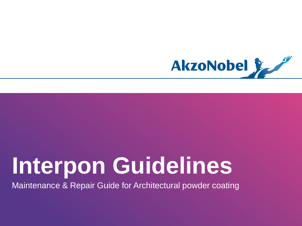

# **Interpon Guidelines**

Maintenance & Repair Guide for Architectural powder coating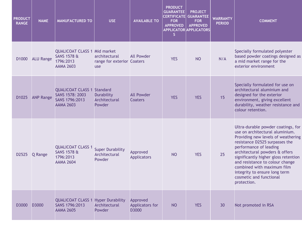| <b>PRODUCT</b><br><b>RANGE</b> | <b>NAME</b>      | <b>MANUFACTURED TO</b>                                                                         | <b>USE</b>                                         | <b>AVAILABLE TO</b>                  | <b>PRODUCT</b><br><b>GUARANTEE</b><br><b>CERTIFICATE</b><br><b>FOR</b><br><b>APPROVED</b><br>S. | <b>PROJECT</b><br><b>GUARANTEE</b><br><b>FOR</b><br><b>APPROVED</b><br><b>APPLICATOR APPLICATORS</b> | <b>WARRANTY</b><br><b>PERIOD</b> | <b>COMMENT</b>                                                                                                                                                                                                                                                                                                                                                                                |
|--------------------------------|------------------|------------------------------------------------------------------------------------------------|----------------------------------------------------|--------------------------------------|-------------------------------------------------------------------------------------------------|------------------------------------------------------------------------------------------------------|----------------------------------|-----------------------------------------------------------------------------------------------------------------------------------------------------------------------------------------------------------------------------------------------------------------------------------------------------------------------------------------------------------------------------------------------|
| D1000                          | <b>ALU Range</b> | <b>QUALICOAT CLASS 1 Mid market</b><br><b>SANS 1578 &amp;</b><br>1796:2013<br><b>AAMA 2603</b> | architectural<br>range for exterior Coaters<br>use | <b>All Powder</b>                    | <b>YES</b>                                                                                      | <b>NO</b>                                                                                            | N/A                              | Specially formulated polyester<br>based powder coatings designed as<br>a mid market range for the<br>exterior environment                                                                                                                                                                                                                                                                     |
| D1025                          | <b>ANP Range</b> | <b>QUALICOAT CLASS 1 Standard</b><br>SANS 1578: 2003<br>SANS 1796:2013<br><b>AAMA 2603</b>     | <b>Durability</b><br>Architectural<br>Powder       | <b>All Powder</b><br>Coaters         | <b>YES</b>                                                                                      | <b>YES</b>                                                                                           | 15                               | Specially formulated for use on<br>architectural aluminium and<br>designed for the exterior<br>environment, giving excellent<br>durability, weather resistance and<br>colour retention.                                                                                                                                                                                                       |
| D2525                          | Q Range          | <b>QUALICOAT CLASS 1</b><br><b>SANS 1578 &amp;</b><br>1796:2013<br><b>AAMA 2604</b>            | <b>Super Durability</b><br>Architectural<br>Powder | Approved<br><b>Applicators</b>       | N <sub>O</sub>                                                                                  | <b>YES</b>                                                                                           | 25                               | Ultra-durable powder coatings, for<br>use on architectural aluminium.<br>Providing new levels of weathering<br>resistance D2525 surpasses the<br>performance of leading<br>architectural powders & offers<br>significantly higher gloss retention<br>and resistance to colour change<br>combined with maximum film<br>integrity to ensure long term<br>cosmetic and functional<br>protection. |
| D3000                          | D3000            | <b>QUALICOAT CLASS 1 Hyper Durability</b><br>SANS 1796:2013<br><b>AAMA 2605</b>                | Architectural<br>Powder                            | Approved<br>Applicators for<br>D3000 | <b>NO</b>                                                                                       | <b>YES</b>                                                                                           | 30                               | Not promoted in RSA                                                                                                                                                                                                                                                                                                                                                                           |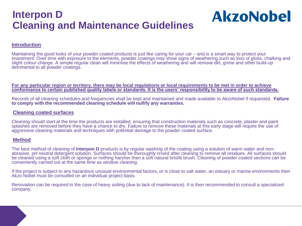#### **Interpon D Cleaning and Maintenance Guidelines**

# **AkzoNobel**

#### **Introduction**

Maintaining the good looks of your powder coated products is just like caring for your car – and is a smart way to protect your investment. Over time with exposure to the elements, powder coatings may show signs of weathering such as loss of gloss, chalking and slight colour change. A simple regular clean will minimise the effects of weathering and will remove dirt, grime and other build-up detrimental to all powder coatings.

**For any particular region or territory, there may be local regulations or local requirements to be met in order to achieve conformance to certain published quality labels or standards. It is the users' responsibility to be aware of such standards.**

Records of all cleaning schedules and frequencies shall be kept and maintained and made available to AkzoNobel if requested. **Failure to comply with the recommended cleaning schedule will nullify any warranties.**

#### **Cleaning coated surfaces**

Cleaning should start at the time the products are installed, ensuring that construction materials such as concrete, plaster and paint splashes are removed before they have a chance to dry. Failure to remove these materials at this early stage will require the use of aggressive cleaning materials and techniques with potential damage to the powder coated surface.

#### **Method**

The best method of cleaning of **Interpon D** products is by regular washing of the coating using a solution of warm water and nonabrasive, pH neutral detergent solution. Surfaces should be thoroughly rinsed after cleaning to remove all residues. All surfaces should be cleaned using a soft cloth or sponge or nothing harsher than a soft natural bristle brush. Cleaning of powder coated sections can be conveniently carried out at the same time as window cleaning.

If the project is subject to any hazardous unusual environmental factors, or is close to salt water, an estuary or marine environments then Akzo Nobel must be consulted on an individual project basis.

Renovation can be required in the case of heavy soiling (due to lack of maintenance). It is then recommended to consult a specialized company.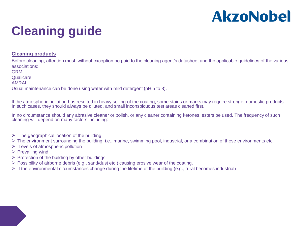### **Cleaning guide**

#### **Cleaning products**

Before cleaning, attention must, without exception be paid to the cleaning agent's datasheet and the applicable guidelines of the various associations:

GRM

**Qualicare** 

AMRAL

Usual maintenance can be done using water with mild detergent (pH 5 to 8).

If the atmospheric pollution has resulted in heavy soiling of the coating, some stains or marks may require stronger domestic products. In such cases, they should always be diluted, and small inconspicuous test areas cleaned first.

In no circumstance should any abrasive cleaner or polish, or any cleaner containing ketones, esters be used. The frequency of such cleaning will depend on many factors including:

- $\triangleright$  The geographical location of the building
- The environment surrounding the building, i.e., marine, swimming pool, industrial, or a combination of these environments etc.
- $\triangleright$  Levels of atmospheric pollution
- $\triangleright$  Prevailing wind
- $\triangleright$  Protection of the building by other buildings
- $\triangleright$  Possibility of airborne debris (e.g., sand/dust etc.) causing erosive wear of the coating.
- $\triangleright$  If the environmental circumstances change during the lifetime of the building (e.g., rural becomes industrial)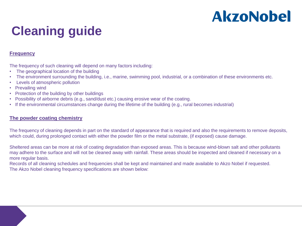### **Cleaning guide**

#### **Frequency**

The frequency of such cleaning will depend on many factors including:

- The geographical location of the building
- The environment surrounding the building, i.e., marine, swimming pool, industrial, or a combination of these environments etc.
- Levels of atmospheric pollution
- **Prevailing wind**
- Protection of the building by other buildings
- Possibility of airborne debris (e.g., sand/dust etc.) causing erosive wear of the coating.
- If the environmental circumstances change during the lifetime of the building (e.g., rural becomes industrial)

#### **The powder coating chemistry**

The frequency of cleaning depends in part on the standard of appearance that is required and also the requirements to remove deposits, which could, during prolonged contact with either the powder film or the metal substrate, (if exposed) cause damage.

Sheltered areas can be more at risk of coating degradation than exposed areas. This is because wind-blown salt and other pollutants may adhere to the surface and will not be cleaned away with rainfall. These areas should be inspected and cleaned if necessary on a more regular basis.

Records of all cleaning schedules and frequencies shall be kept and maintained and made available to Akzo Nobel if requested. The Akzo Nobel cleaning frequency specifications are shown below: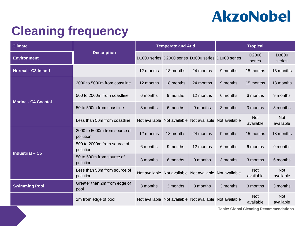### **Cleaning frequency**

| <b>Climate</b>             | <b>Description</b>                        | <b>Temperate and Arid</b> |           |                                                         | <b>Tropical</b> |                         |                         |
|----------------------------|-------------------------------------------|---------------------------|-----------|---------------------------------------------------------|-----------------|-------------------------|-------------------------|
| <b>Environment</b>         |                                           |                           |           | D1000 series D2000 series D3000 series D1000 series     |                 | D2000<br>series         | D3000<br>series         |
| <b>Normal - C3 Inland</b>  |                                           | 12 months                 | 18 months | 24 months                                               | 9 months        | 15 months               | 18 months               |
|                            | 2000 to 5000m from coastline              | 12 months                 | 18 months | 24 months                                               | 9 months        | 15 months               | 18 months               |
|                            | 500 to 2000m from coastline               | 6 months                  | 9 months  | 12 months                                               | 6 months        | 6 months                | 9 months                |
| <b>Marine - C4 Coastal</b> | 50 to 500m from coastline                 | 3 months                  | 6 months  | 9 months                                                | 3 months        | 3 months                | 3 months                |
|                            | Less than 50m from coastline              |                           |           | Not available Not available Not available Not available |                 | <b>Not</b><br>available | <b>Not</b><br>available |
|                            | 2000 to 5000m from source of<br>pollution | 12 months                 | 18 months | 24 months                                               | 9 months        | 15 months               | 18 months               |
|                            | 500 to 2000m from source of<br>pollution  | 6 months                  | 9 months  | 12 months                                               | 6 months        | 6 months                | 9 months                |
| <b>Industrial - C5</b>     | 50 to 500m from source of<br>pollution    | 3 months                  | 6 months  | 9 months                                                | 3 months        | 3 months                | 6 months                |
|                            | Less than 50m from source of<br>pollution |                           |           | Not available Not available Not available Not available |                 | <b>Not</b><br>available | <b>Not</b><br>available |
| <b>Swimming Pool</b>       | Greater than 2m from edge of<br>pool      | 3 months                  | 3 months  | 3 months                                                | 3 months        | 3 months                | 3 months                |
|                            | 2m from edge of pool                      |                           |           | Not available Not available Not available Not available |                 | <b>Not</b><br>available | <b>Not</b><br>available |

**Table: Global Cleaning Recommendations**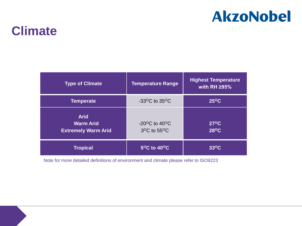### **Climate**

| <b>Type of Climate</b>                                        | <b>Temperature Range</b>                                               | <b>Highest Temperature</b><br>with RH $\geq$ 95% |
|---------------------------------------------------------------|------------------------------------------------------------------------|--------------------------------------------------|
| <b>Temperate</b>                                              | $-33$ <sup>o</sup> C to 35 <sup>o</sup> C                              | $25^{\circ}$ C                                   |
| <b>Arid</b><br><b>Warm Arid</b><br><b>Extremely Warm Arid</b> | $-20^{\circ}$ C to 40 $^{\circ}$ C<br>$3^{\circ}$ C to 55 $^{\circ}$ C | $27^{\circ}$ C<br>$28^{\circ}$ C                 |
| <b>Tropical</b>                                               | $5^{\circ}$ C to 40 $^{\circ}$ C                                       | $33^{\circ}$ C                                   |

Note for more detailed definitions of environment and climate please refer to ISO9223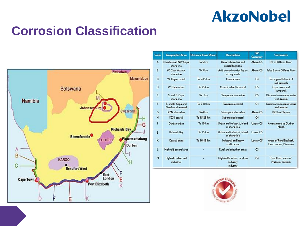### **Corrosion Classification**



| Coda | <b>Goographic Area</b>                    | Distance from Ocean | <b>Description</b>                                   | <b>ISO</b><br>Catogory | <b>Commonts</b>                                   |
|------|-------------------------------------------|---------------------|------------------------------------------------------|------------------------|---------------------------------------------------|
| A    | Namibia and NW Cape<br>shore-line         | To 5 km             | Desert shore-line and<br>coastal fog zone            | Above CS               | N. of Olifants River                              |
| B    | W. Cape Adantic<br>shore-line             | To 3 km             | Arid shore-line with fog or<br>strong winds          | Above C5               | False Bay to Olifants River                       |
| c    | W. Cape coastal                           | To 5-15 km          | Coastal area                                         | CA                     | To range of fall-out of<br>salt agrosols          |
| Ð    | W. Cape urban                             | To 25 km            | Coastal urban/industrial                             | C5                     | Cape Town and<br>surrounds                        |
| Е    | S. and E. Cape<br>shore-line              | To I km             | Temperate shore-line                                 | C <sub>5</sub>         | Distance from ocean varies<br>with terrain.       |
| F    | S. and E. Cape and<br>Natal south coastal | To 5-10 km          | Temperate coastal                                    | CA                     | Distance from ocean varies<br>with terrain        |
| G    | K7N chara-line                            | To 4 km             | Subtropical shore-line                               | Ahnya CS               | KZN to Maputo                                     |
| н    | <b>KZN</b> coastal                        | To 15-25 km         | Sub-tropical coastal                                 | C4                     |                                                   |
| ı    | Durban urban                              | $To$ 10 $km$        | Urban and industrial, inland<br>of shore-line        | Upper C5               | Amanzimtoti to Durban<br>North                    |
| J    | Richards Bay                              | To 15 km            | Urban and industrial, inland<br>of shore-line        | Lower CS               |                                                   |
| ĸ    | Coastal cities                            | To 10-15 km         | Industrial and heavy<br>traffic areas                | Lower <sub>C5</sub>    | Areas of Port Elizabeth,<br>East London, Pinetown |
| ш    | Highvald general area                     | ٠                   | Rural and suburban areas                             | C <sub>3</sub>         |                                                   |
| M    | Highveld urban and<br>industrial          | ٠                   | High-traffic urban, or close<br>to heavy<br>industry | CA                     | East Rand, areas of<br>Pretoria, Witbank          |

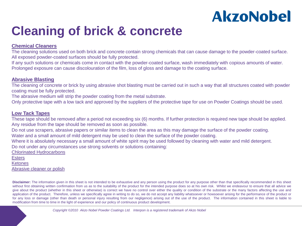### **Cleaning of brick & concrete**

#### **Chemical Cleaners**

The cleaning solutions used on both brick and concrete contain strong chemicals that can cause damage to the powder-coated surface. All exposed powder-coated surfaces should be fully protected.

If any such solutions or chemicals come in contact with the powder-coated surface, wash immediately with copious amounts of water. Prolonged exposure can cause discolouration of the film, loss of gloss and damage to the coating surface.

#### **Abrasive Blasting**

The cleaning of concrete or brick by using abrasive shot blasting must be carried out in such a way that all structures coated with powder coating must be fully protected.

The abrasive medium will strip the powder coating from the metal substrate.

Only protective tape with a low tack and approved by the suppliers of the protective tape for use on Powder Coatings should be used.

#### **Low Tack Tapes**

These tape should be removed after a period not exceeding six (6) months. If further protection is required new tape should be applied. Any residue from the tape should be removed as soon as possible.

Do not use scrapers, abrasive papers or similar items to clean the area as this may damage the surface of the powder coating.

Water and a small amount of mild detergent may be used to clean the surface of the powder coating.

Where it is absolutely necessary a small amount of white spirit may be used followed by cleaning with water and mild detergent.

Do not under any circumstances use strong solvents or solutions containing:

Chlorinated Hydrocarbons

Esters

**Ketones** 

Abrasive cleaner or polish

**Disclaimer:** The information given in this sheet is not intended to be exhaustive and any person using the product for any purpose other than that specifically recommended in this sheet without first obtaining written confirmation from us as to the suitability of the product for the intended purpose does so at his own risk. Whilst we endeavour to ensure that all advice we give about the product (whether in this sheet or otherwise) is correct we have no control over either the quality or condition of the substrate or the many factors affecting the use and application of the product. Therefore, unless we specifically agree in writing to do so, we do not accept any liability whatsoever or howsoever arising for the performance of the product or for any loss or damage (other than death or personal injury resulting from our negligence) arising out of the use of the product. The information contained in this sheet is liable to modification from time to time in the light of experience and our policy of continuous product development.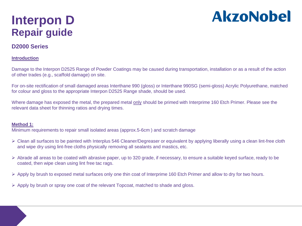### **Interpon D Repair guide**

# **AkzoNobel**

#### **D2000 Series**

#### **Introduction**

Damage to the Interpon D2525 Range of Powder Coatings may be caused during transportation, installation or as a result of the action of other trades (e.g., scaffold damage) on site.

For on-site rectification of small damaged areas Interthane 990 (gloss) or Interthane 990SG (semi-gloss) Acrylic Polyurethane, matched for colour and gloss to the appropriate Interpon D2525 Range shade, should be used.

Where damage has exposed the metal, the prepared metal only should be primed with Interprime 160 Etch Primer. Please see the relevant data sheet for thinning ratios and drying times.

#### **Method 1:**

Minimum requirements to repair small isolated areas (approx.5-6cm ) and scratch damage

- Clean all surfaces to be painted with Interplus 546 Cleaner/Degreaser or equivalent by applying liberally using a clean lint-free cloth and wipe dry using lint-free cloths physically removing all sealants and mastics, etc.
- $\triangleright$  Abrade all areas to be coated with abrasive paper, up to 320 grade, if necessary, to ensure a suitable keyed surface, ready to be coated, then wipe clean using lint free tac rags.
- $\triangleright$  Apply by brush to exposed metal surfaces only one thin coat of Interprime 160 Etch Primer and allow to dry for two hours.
- $\triangleright$  Apply by brush or spray one coat of the relevant Topcoat, matched to shade and gloss.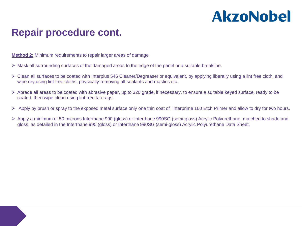#### **Repair procedure cont.**

**Method 2:** Minimum requirements to repair larger areas of damage

- $\triangleright$  Mask all surrounding surfaces of the damaged areas to the edge of the panel or a suitable breakline.
- $\triangleright$  Clean all surfaces to be coated with Interplus 546 Cleaner/Degreaser or equivalent, by applying liberally using a lint free cloth, and wipe dry using lint free cloths, physically removing all sealants and mastics etc.
- $\triangleright$  Abrade all areas to be coated with abrasive paper, up to 320 grade, if necessary, to ensure a suitable keyed surface, ready to be coated, then wipe clean using lint free tac-rags.
- $\triangleright$  Apply by brush or spray to the exposed metal surface only one thin coat of Interprime 160 Etch Primer and allow to dry for two hours.
- Apply a minimum of 50 microns Interthane 990 (gloss) or Interthane 990SG (semi-gloss) Acrylic Polyurethane, matched to shade and gloss, as detailed in the Interthane 990 (gloss) or Interthane 990SG (semi-gloss) Acrylic Polyurethane Data Sheet.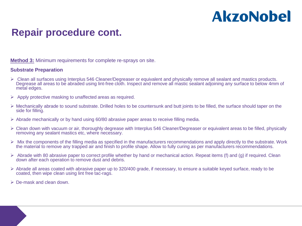#### **Repair procedure cont.**

**Method 3:** Minimum requirements for complete re-sprays on site.

#### **Substrate Preparation**

- Clean all surfaces using Interplus 546 Cleaner/Degreaser or equivalent and physically remove all sealant and mastics products. Degrease all areas to be abraded using lint-free cloth. Inspect and remove all mastic sealant adjoining any surface to below 4mm of metal edges.
- $\triangleright$  Apply protective masking to unaffected areas as required.
- $\triangleright$  Mechanically abrade to sound substrate. Drilled holes to be countersunk and butt joints to be filled, the surface should taper on the side for filling.
- $\triangleright$  Abrade mechanically or by hand using 60/80 abrasive paper areas to receive filling media.
- Clean down with vacuum or air, thoroughly degrease with Interplus 546 Cleaner/Degreaser or equivalent areas to be filled, physically removing any sealant mastics etc, where necessary.
- $\triangleright$  Mix the components of the filling media as specified in the manufacturers recommendations and apply directly to the substrate. Work the material to remove any trapped air and finish to profile shape. Allow to fully curing as per manufacturers recommendations.
- $\triangleright$  Abrade with 80 abrasive paper to correct profile whether by hand or mechanical action. Repeat items (f) and (g) if required. Clean down after each operation to remove dust and debris.
- $\triangleright$  Abrade all areas coated with abrasive paper up to 320/400 grade, if necessary, to ensure a suitable keyed surface, ready to be coated, then wipe clean using lint free tac-rags.
- $\triangleright$  De-mask and clean down.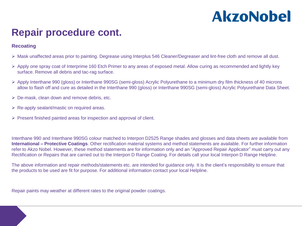#### **Repair procedure cont.**

#### **Recoating**

- Mask unaffected areas prior to painting. Degrease using Interplus 546 Cleaner/Degreaser and lint-free cloth and remove all dust.
- $\triangleright$  Apply one spray coat of Interprime 160 Etch Primer to any areas of exposed metal. Allow curing as recommended and lightly key surface. Remove all debris and tac-rag surface.
- Apply Interthane 990 (gloss) or Interthane 990SG (semi-gloss) Acrylic Polyurethane to a minimum dry film thickness of 40 microns allow to flash off and cure as detailed in the Interthane 990 (gloss) or Interthane 990SG (semi-gloss) Acrylic Polyurethane Data Sheet.
- $\triangleright$  De-mask, clean down and remove debris, etc.
- $\triangleright$  Re-apply sealant/mastic on required areas.
- $\triangleright$  Present finished painted areas for inspection and approval of client.

Interthane 990 and Interthane 990SG colour matched to Interpon D2525 Range shades and glosses and data sheets are available from **International – Protective Coatings**. Other rectification material systems and method statements are available. For further information refer to Akzo Nobel. However, these method statements are for information only and an "Approved Repair Applicator" must carry out any Rectification or Repairs that are carried out to the Interpon D Range Coating. For details call your local Interpon D Range Helpline.

The above information and repair methods/statements etc. are intended for guidance only. It is the client's responsibility to ensure that the products to be used are fit for purpose. For additional information contact your local Helpline.

Repair paints may weather at different rates to the original powder coatings.